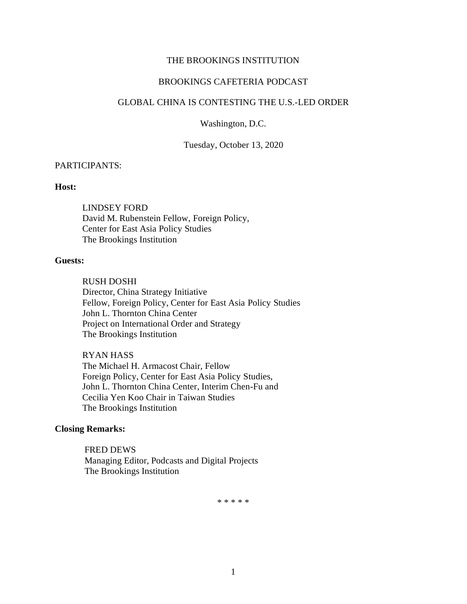### THE BROOKINGS INSTITUTION

# BROOKINGS CAFETERIA PODCAST

## GLOBAL CHINA IS CONTESTING THE U.S.-LED ORDER

Washington, D.C.

Tuesday, October 13, 2020

#### PARTICIPANTS:

## **Host:**

LINDSEY FORD David M. Rubenstein Fellow, Foreign Policy, Center for East Asia Policy Studies The Brookings Institution

## **Guests:**

RUSH DOSHI Director, China Strategy Initiative Fellow, Foreign Policy, Center for East Asia Policy Studies John L. Thornton China Center Project on International Order and Strategy The Brookings Institution

#### RYAN HASS

The Michael H. Armacost Chair, Fellow Foreign Policy, Center for East Asia Policy Studies, John L. Thornton China Center, Interim Chen-Fu and Cecilia Yen Koo Chair in Taiwan Studies The Brookings Institution

## **Closing Remarks:**

FRED DEWS Managing Editor, Podcasts and Digital Projects The Brookings Institution

\* \* \* \* \*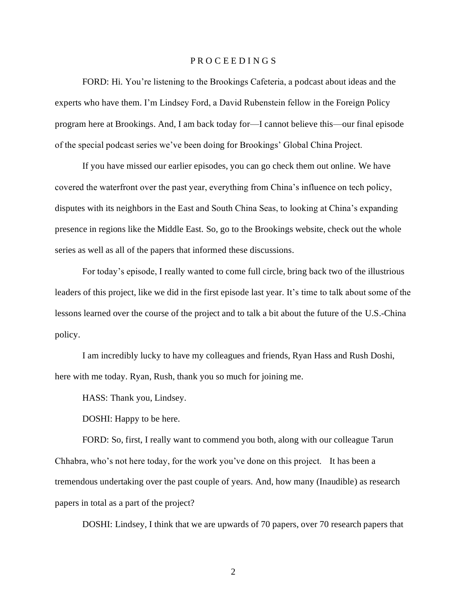### P R O C E E D I N G S

FORD: Hi. You're listening to the Brookings Cafeteria, a podcast about ideas and the experts who have them. I'm Lindsey Ford, a David Rubenstein fellow in the Foreign Policy program here at Brookings. And, I am back today for—I cannot believe this—our final episode of the special podcast series we've been doing for Brookings' Global China Project.

If you have missed our earlier episodes, you can go check them out online. We have covered the waterfront over the past year, everything from China's influence on tech policy, disputes with its neighbors in the East and South China Seas, to looking at China's expanding presence in regions like the Middle East. So, go to the Brookings website, check out the whole series as well as all of the papers that informed these discussions.

For today's episode, I really wanted to come full circle, bring back two of the illustrious leaders of this project, like we did in the first episode last year. It's time to talk about some of the lessons learned over the course of the project and to talk a bit about the future of the U.S.-China policy.

I am incredibly lucky to have my colleagues and friends, Ryan Hass and Rush Doshi, here with me today. Ryan, Rush, thank you so much for joining me.

HASS: Thank you, Lindsey.

DOSHI: Happy to be here.

FORD: So, first, I really want to commend you both, along with our colleague Tarun Chhabra, who's not here today, for the work you've done on this project. It has been a tremendous undertaking over the past couple of years. And, how many (Inaudible) as research papers in total as a part of the project?

DOSHI: Lindsey, I think that we are upwards of 70 papers, over 70 research papers that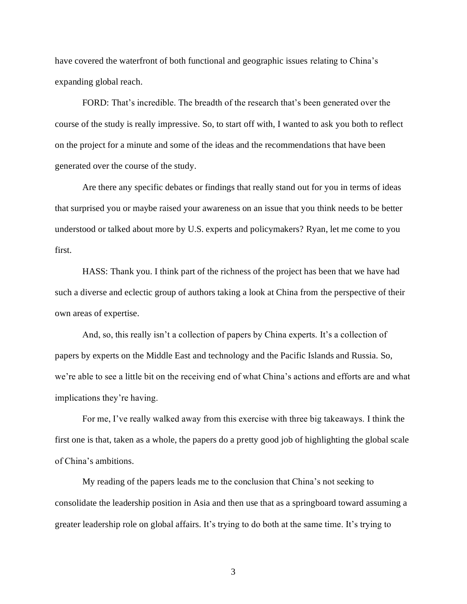have covered the waterfront of both functional and geographic issues relating to China's expanding global reach.

FORD: That's incredible. The breadth of the research that's been generated over the course of the study is really impressive. So, to start off with, I wanted to ask you both to reflect on the project for a minute and some of the ideas and the recommendations that have been generated over the course of the study.

Are there any specific debates or findings that really stand out for you in terms of ideas that surprised you or maybe raised your awareness on an issue that you think needs to be better understood or talked about more by U.S. experts and policymakers? Ryan, let me come to you first.

HASS: Thank you. I think part of the richness of the project has been that we have had such a diverse and eclectic group of authors taking a look at China from the perspective of their own areas of expertise.

And, so, this really isn't a collection of papers by China experts. It's a collection of papers by experts on the Middle East and technology and the Pacific Islands and Russia. So, we're able to see a little bit on the receiving end of what China's actions and efforts are and what implications they're having.

For me, I've really walked away from this exercise with three big takeaways. I think the first one is that, taken as a whole, the papers do a pretty good job of highlighting the global scale of China's ambitions.

My reading of the papers leads me to the conclusion that China's not seeking to consolidate the leadership position in Asia and then use that as a springboard toward assuming a greater leadership role on global affairs. It's trying to do both at the same time. It's trying to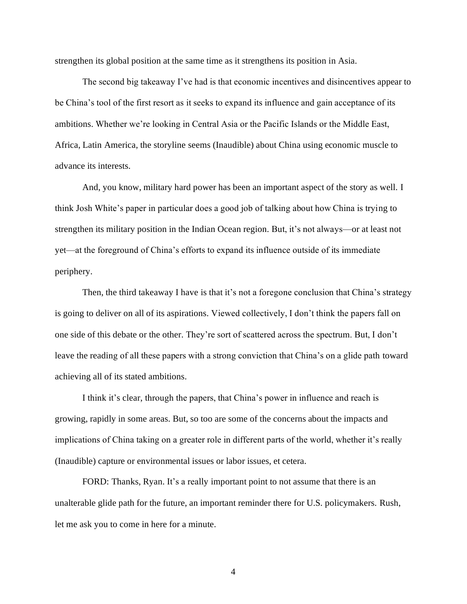strengthen its global position at the same time as it strengthens its position in Asia.

The second big takeaway I've had is that economic incentives and disincentives appear to be China's tool of the first resort as it seeks to expand its influence and gain acceptance of its ambitions. Whether we're looking in Central Asia or the Pacific Islands or the Middle East, Africa, Latin America, the storyline seems (Inaudible) about China using economic muscle to advance its interests.

And, you know, military hard power has been an important aspect of the story as well. I think Josh White's paper in particular does a good job of talking about how China is trying to strengthen its military position in the Indian Ocean region. But, it's not always—or at least not yet—at the foreground of China's efforts to expand its influence outside of its immediate periphery.

Then, the third takeaway I have is that it's not a foregone conclusion that China's strategy is going to deliver on all of its aspirations. Viewed collectively, I don't think the papers fall on one side of this debate or the other. They're sort of scattered across the spectrum. But, I don't leave the reading of all these papers with a strong conviction that China's on a glide path toward achieving all of its stated ambitions.

I think it's clear, through the papers, that China's power in influence and reach is growing, rapidly in some areas. But, so too are some of the concerns about the impacts and implications of China taking on a greater role in different parts of the world, whether it's really (Inaudible) capture or environmental issues or labor issues, et cetera.

FORD: Thanks, Ryan. It's a really important point to not assume that there is an unalterable glide path for the future, an important reminder there for U.S. policymakers. Rush, let me ask you to come in here for a minute.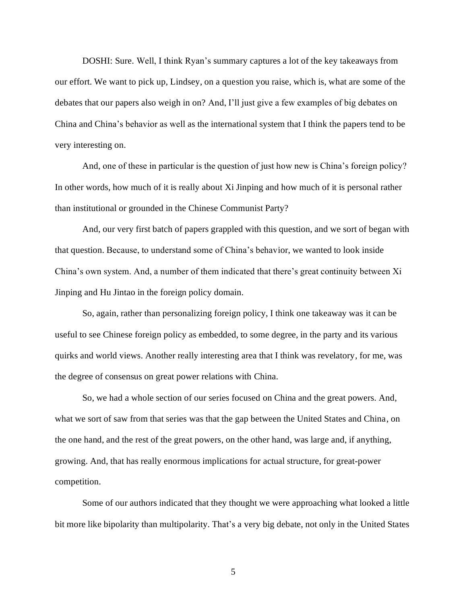DOSHI: Sure. Well, I think Ryan's summary captures a lot of the key takeaways from our effort. We want to pick up, Lindsey, on a question you raise, which is, what are some of the debates that our papers also weigh in on? And, I'll just give a few examples of big debates on China and China's behavior as well as the international system that I think the papers tend to be very interesting on.

And, one of these in particular is the question of just how new is China's foreign policy? In other words, how much of it is really about Xi Jinping and how much of it is personal rather than institutional or grounded in the Chinese Communist Party?

And, our very first batch of papers grappled with this question, and we sort of began with that question. Because, to understand some of China's behavior, we wanted to look inside China's own system. And, a number of them indicated that there's great continuity between Xi Jinping and Hu Jintao in the foreign policy domain.

So, again, rather than personalizing foreign policy, I think one takeaway was it can be useful to see Chinese foreign policy as embedded, to some degree, in the party and its various quirks and world views. Another really interesting area that I think was revelatory, for me, was the degree of consensus on great power relations with China.

So, we had a whole section of our series focused on China and the great powers. And, what we sort of saw from that series was that the gap between the United States and China, on the one hand, and the rest of the great powers, on the other hand, was large and, if anything, growing. And, that has really enormous implications for actual structure, for great-power competition.

Some of our authors indicated that they thought we were approaching what looked a little bit more like bipolarity than multipolarity. That's a very big debate, not only in the United States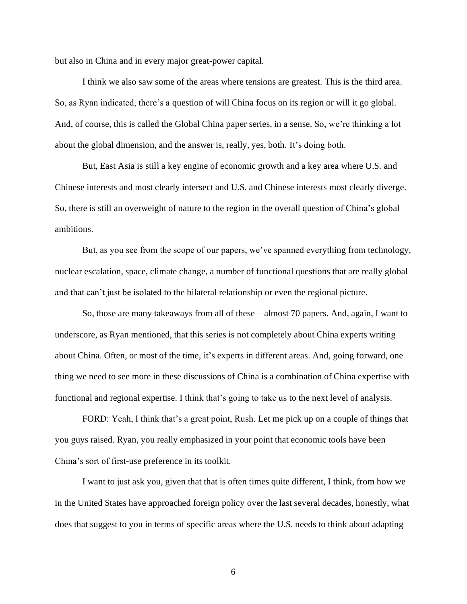but also in China and in every major great-power capital.

I think we also saw some of the areas where tensions are greatest. This is the third area. So, as Ryan indicated, there's a question of will China focus on its region or will it go global. And, of course, this is called the Global China paper series, in a sense. So, we're thinking a lot about the global dimension, and the answer is, really, yes, both. It's doing both.

But, East Asia is still a key engine of economic growth and a key area where U.S. and Chinese interests and most clearly intersect and U.S. and Chinese interests most clearly diverge. So, there is still an overweight of nature to the region in the overall question of China's global ambitions.

But, as you see from the scope of our papers, we've spanned everything from technology, nuclear escalation, space, climate change, a number of functional questions that are really global and that can't just be isolated to the bilateral relationship or even the regional picture.

So, those are many takeaways from all of these—almost 70 papers. And, again, I want to underscore, as Ryan mentioned, that this series is not completely about China experts writing about China. Often, or most of the time, it's experts in different areas. And, going forward, one thing we need to see more in these discussions of China is a combination of China expertise with functional and regional expertise. I think that's going to take us to the next level of analysis.

FORD: Yeah, I think that's a great point, Rush. Let me pick up on a couple of things that you guys raised. Ryan, you really emphasized in your point that economic tools have been China's sort of first-use preference in its toolkit.

I want to just ask you, given that that is often times quite different, I think, from how we in the United States have approached foreign policy over the last several decades, honestly, what does that suggest to you in terms of specific areas where the U.S. needs to think about adapting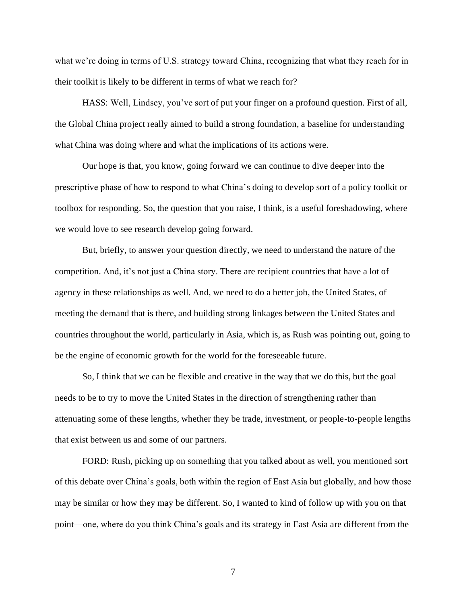what we're doing in terms of U.S. strategy toward China, recognizing that what they reach for in their toolkit is likely to be different in terms of what we reach for?

HASS: Well, Lindsey, you've sort of put your finger on a profound question. First of all, the Global China project really aimed to build a strong foundation, a baseline for understanding what China was doing where and what the implications of its actions were.

Our hope is that, you know, going forward we can continue to dive deeper into the prescriptive phase of how to respond to what China's doing to develop sort of a policy toolkit or toolbox for responding. So, the question that you raise, I think, is a useful foreshadowing, where we would love to see research develop going forward.

But, briefly, to answer your question directly, we need to understand the nature of the competition. And, it's not just a China story. There are recipient countries that have a lot of agency in these relationships as well. And, we need to do a better job, the United States, of meeting the demand that is there, and building strong linkages between the United States and countries throughout the world, particularly in Asia, which is, as Rush was pointing out, going to be the engine of economic growth for the world for the foreseeable future.

So, I think that we can be flexible and creative in the way that we do this, but the goal needs to be to try to move the United States in the direction of strengthening rather than attenuating some of these lengths, whether they be trade, investment, or people-to-people lengths that exist between us and some of our partners.

FORD: Rush, picking up on something that you talked about as well, you mentioned sort of this debate over China's goals, both within the region of East Asia but globally, and how those may be similar or how they may be different. So, I wanted to kind of follow up with you on that point—one, where do you think China's goals and its strategy in East Asia are different from the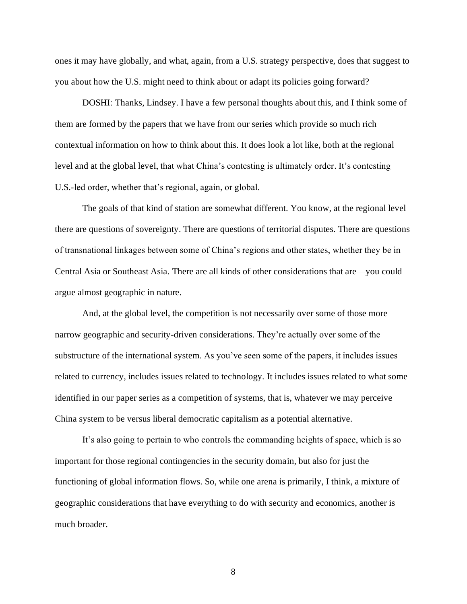ones it may have globally, and what, again, from a U.S. strategy perspective, does that suggest to you about how the U.S. might need to think about or adapt its policies going forward?

DOSHI: Thanks, Lindsey. I have a few personal thoughts about this, and I think some of them are formed by the papers that we have from our series which provide so much rich contextual information on how to think about this. It does look a lot like, both at the regional level and at the global level, that what China's contesting is ultimately order. It's contesting U.S.-led order, whether that's regional, again, or global.

The goals of that kind of station are somewhat different. You know, at the regional level there are questions of sovereignty. There are questions of territorial disputes. There are questions of transnational linkages between some of China's regions and other states, whether they be in Central Asia or Southeast Asia. There are all kinds of other considerations that are—you could argue almost geographic in nature.

And, at the global level, the competition is not necessarily over some of those more narrow geographic and security-driven considerations. They're actually over some of the substructure of the international system. As you've seen some of the papers, it includes issues related to currency, includes issues related to technology. It includes issues related to what some identified in our paper series as a competition of systems, that is, whatever we may perceive China system to be versus liberal democratic capitalism as a potential alternative.

It's also going to pertain to who controls the commanding heights of space, which is so important for those regional contingencies in the security domain, but also for just the functioning of global information flows. So, while one arena is primarily, I think, a mixture of geographic considerations that have everything to do with security and economics, another is much broader.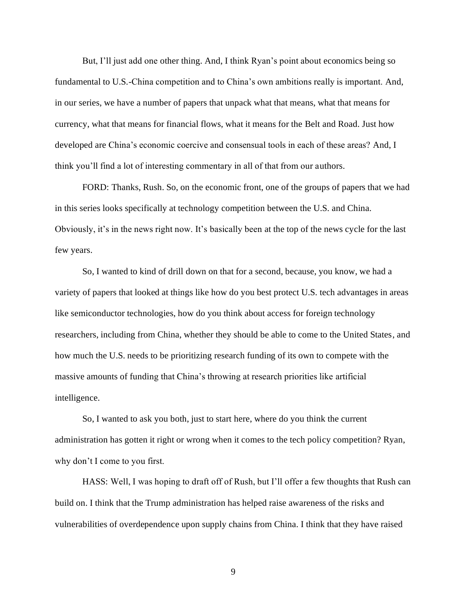But, I'll just add one other thing. And, I think Ryan's point about economics being so fundamental to U.S.-China competition and to China's own ambitions really is important. And, in our series, we have a number of papers that unpack what that means, what that means for currency, what that means for financial flows, what it means for the Belt and Road. Just how developed are China's economic coercive and consensual tools in each of these areas? And, I think you'll find a lot of interesting commentary in all of that from our authors.

FORD: Thanks, Rush. So, on the economic front, one of the groups of papers that we had in this series looks specifically at technology competition between the U.S. and China. Obviously, it's in the news right now. It's basically been at the top of the news cycle for the last few years.

So, I wanted to kind of drill down on that for a second, because, you know, we had a variety of papers that looked at things like how do you best protect U.S. tech advantages in areas like semiconductor technologies, how do you think about access for foreign technology researchers, including from China, whether they should be able to come to the United States, and how much the U.S. needs to be prioritizing research funding of its own to compete with the massive amounts of funding that China's throwing at research priorities like artificial intelligence.

So, I wanted to ask you both, just to start here, where do you think the current administration has gotten it right or wrong when it comes to the tech policy competition? Ryan, why don't I come to you first.

HASS: Well, I was hoping to draft off of Rush, but I'll offer a few thoughts that Rush can build on. I think that the Trump administration has helped raise awareness of the risks and vulnerabilities of overdependence upon supply chains from China. I think that they have raised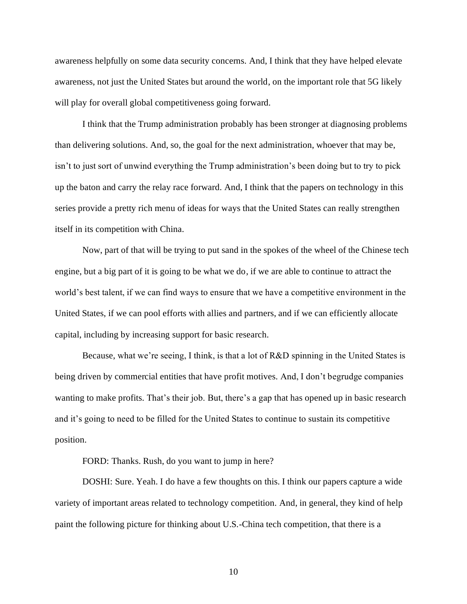awareness helpfully on some data security concerns. And, I think that they have helped elevate awareness, not just the United States but around the world, on the important role that 5G likely will play for overall global competitiveness going forward.

I think that the Trump administration probably has been stronger at diagnosing problems than delivering solutions. And, so, the goal for the next administration, whoever that may be, isn't to just sort of unwind everything the Trump administration's been doing but to try to pick up the baton and carry the relay race forward. And, I think that the papers on technology in this series provide a pretty rich menu of ideas for ways that the United States can really strengthen itself in its competition with China.

Now, part of that will be trying to put sand in the spokes of the wheel of the Chinese tech engine, but a big part of it is going to be what we do, if we are able to continue to attract the world's best talent, if we can find ways to ensure that we have a competitive environment in the United States, if we can pool efforts with allies and partners, and if we can efficiently allocate capital, including by increasing support for basic research.

Because, what we're seeing, I think, is that a lot of R&D spinning in the United States is being driven by commercial entities that have profit motives. And, I don't begrudge companies wanting to make profits. That's their job. But, there's a gap that has opened up in basic research and it's going to need to be filled for the United States to continue to sustain its competitive position.

FORD: Thanks. Rush, do you want to jump in here?

DOSHI: Sure. Yeah. I do have a few thoughts on this. I think our papers capture a wide variety of important areas related to technology competition. And, in general, they kind of help paint the following picture for thinking about U.S.-China tech competition, that there is a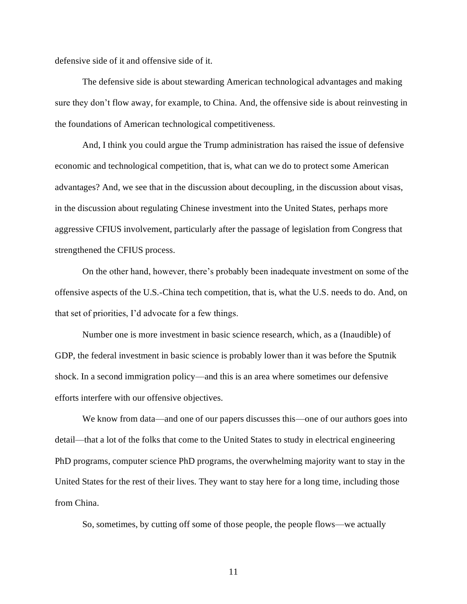defensive side of it and offensive side of it.

The defensive side is about stewarding American technological advantages and making sure they don't flow away, for example, to China. And, the offensive side is about reinvesting in the foundations of American technological competitiveness.

And, I think you could argue the Trump administration has raised the issue of defensive economic and technological competition, that is, what can we do to protect some American advantages? And, we see that in the discussion about decoupling, in the discussion about visas, in the discussion about regulating Chinese investment into the United States, perhaps more aggressive CFIUS involvement, particularly after the passage of legislation from Congress that strengthened the CFIUS process.

On the other hand, however, there's probably been inadequate investment on some of the offensive aspects of the U.S.-China tech competition, that is, what the U.S. needs to do. And, on that set of priorities, I'd advocate for a few things.

Number one is more investment in basic science research, which, as a (Inaudible) of GDP, the federal investment in basic science is probably lower than it was before the Sputnik shock. In a second immigration policy—and this is an area where sometimes our defensive efforts interfere with our offensive objectives.

We know from data—and one of our papers discusses this—one of our authors goes into detail—that a lot of the folks that come to the United States to study in electrical engineering PhD programs, computer science PhD programs, the overwhelming majority want to stay in the United States for the rest of their lives. They want to stay here for a long time, including those from China.

So, sometimes, by cutting off some of those people, the people flows—we actually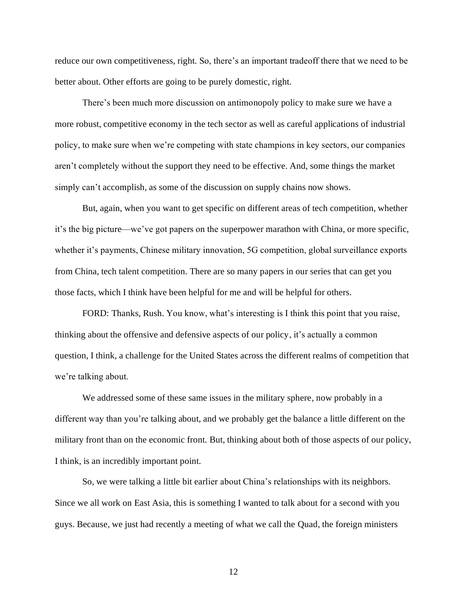reduce our own competitiveness, right. So, there's an important tradeoff there that we need to be better about. Other efforts are going to be purely domestic, right.

There's been much more discussion on antimonopoly policy to make sure we have a more robust, competitive economy in the tech sector as well as careful applications of industrial policy, to make sure when we're competing with state champions in key sectors, our companies aren't completely without the support they need to be effective. And, some things the market simply can't accomplish, as some of the discussion on supply chains now shows.

But, again, when you want to get specific on different areas of tech competition, whether it's the big picture—we've got papers on the superpower marathon with China, or more specific, whether it's payments, Chinese military innovation, 5G competition, global surveillance exports from China, tech talent competition. There are so many papers in our series that can get you those facts, which I think have been helpful for me and will be helpful for others.

FORD: Thanks, Rush. You know, what's interesting is I think this point that you raise, thinking about the offensive and defensive aspects of our policy, it's actually a common question, I think, a challenge for the United States across the different realms of competition that we're talking about.

We addressed some of these same issues in the military sphere, now probably in a different way than you're talking about, and we probably get the balance a little different on the military front than on the economic front. But, thinking about both of those aspects of our policy, I think, is an incredibly important point.

So, we were talking a little bit earlier about China's relationships with its neighbors. Since we all work on East Asia, this is something I wanted to talk about for a second with you guys. Because, we just had recently a meeting of what we call the Quad, the foreign ministers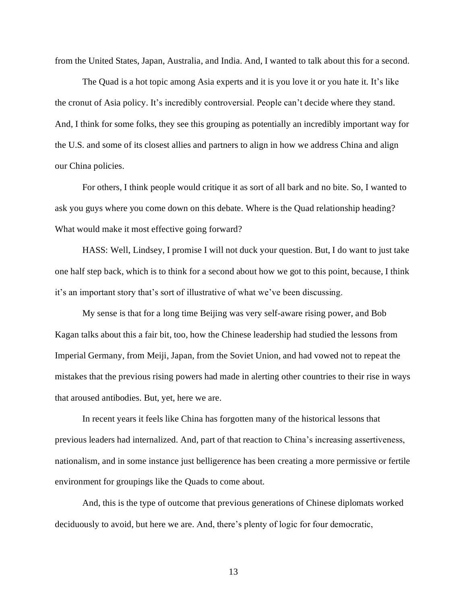from the United States, Japan, Australia, and India. And, I wanted to talk about this for a second.

The Quad is a hot topic among Asia experts and it is you love it or you hate it. It's like the cronut of Asia policy. It's incredibly controversial. People can't decide where they stand. And, I think for some folks, they see this grouping as potentially an incredibly important way for the U.S. and some of its closest allies and partners to align in how we address China and align our China policies.

For others, I think people would critique it as sort of all bark and no bite. So, I wanted to ask you guys where you come down on this debate. Where is the Quad relationship heading? What would make it most effective going forward?

HASS: Well, Lindsey, I promise I will not duck your question. But, I do want to just take one half step back, which is to think for a second about how we got to this point, because, I think it's an important story that's sort of illustrative of what we've been discussing.

My sense is that for a long time Beijing was very self-aware rising power, and Bob Kagan talks about this a fair bit, too, how the Chinese leadership had studied the lessons from Imperial Germany, from Meiji, Japan, from the Soviet Union, and had vowed not to repeat the mistakes that the previous rising powers had made in alerting other countries to their rise in ways that aroused antibodies. But, yet, here we are.

In recent years it feels like China has forgotten many of the historical lessons that previous leaders had internalized. And, part of that reaction to China's increasing assertiveness, nationalism, and in some instance just belligerence has been creating a more permissive or fertile environment for groupings like the Quads to come about.

And, this is the type of outcome that previous generations of Chinese diplomats worked deciduously to avoid, but here we are. And, there's plenty of logic for four democratic,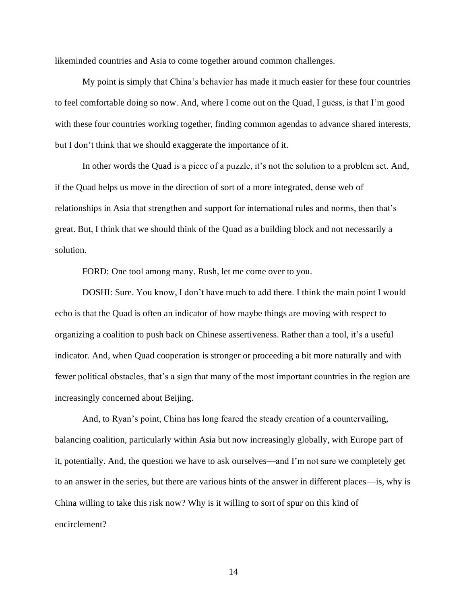likeminded countries and Asia to come together around common challenges.

My point is simply that China's behavior has made it much easier for these four countries to feel comfortable doing so now. And, where I come out on the Quad, I guess, is that I'm good with these four countries working together, finding common agendas to advance shared interests, but I don't think that we should exaggerate the importance of it.

In other words the Quad is a piece of a puzzle, it's not the solution to a problem set. And, if the Quad helps us move in the direction of sort of a more integrated, dense web of relationships in Asia that strengthen and support for international rules and norms, then that's great. But, I think that we should think of the Quad as a building block and not necessarily a solution.

FORD: One tool among many. Rush, let me come over to you.

DOSHI: Sure. You know, I don't have much to add there. I think the main point I would echo is that the Quad is often an indicator of how maybe things are moving with respect to organizing a coalition to push back on Chinese assertiveness. Rather than a tool, it's a useful indicator. And, when Quad cooperation is stronger or proceeding a bit more naturally and with fewer political obstacles, that's a sign that many of the most important countries in the region are increasingly concerned about Beijing.

And, to Ryan's point, China has long feared the steady creation of a countervailing, balancing coalition, particularly within Asia but now increasingly globally, with Europe part of it, potentially. And, the question we have to ask ourselves—and I'm not sure we completely get to an answer in the series, but there are various hints of the answer in different places—is, why is China willing to take this risk now? Why is it willing to sort of spur on this kind of encirclement?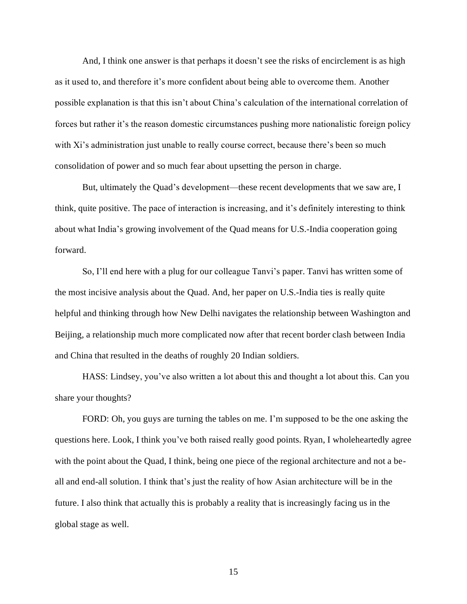And, I think one answer is that perhaps it doesn't see the risks of encirclement is as high as it used to, and therefore it's more confident about being able to overcome them. Another possible explanation is that this isn't about China's calculation of the international correlation of forces but rather it's the reason domestic circumstances pushing more nationalistic foreign policy with Xi's administration just unable to really course correct, because there's been so much consolidation of power and so much fear about upsetting the person in charge.

But, ultimately the Quad's development—these recent developments that we saw are, I think, quite positive. The pace of interaction is increasing, and it's definitely interesting to think about what India's growing involvement of the Quad means for U.S.-India cooperation going forward.

So, I'll end here with a plug for our colleague Tanvi's paper. Tanvi has written some of the most incisive analysis about the Quad. And, her paper on U.S.-India ties is really quite helpful and thinking through how New Delhi navigates the relationship between Washington and Beijing, a relationship much more complicated now after that recent border clash between India and China that resulted in the deaths of roughly 20 Indian soldiers.

HASS: Lindsey, you've also written a lot about this and thought a lot about this. Can you share your thoughts?

FORD: Oh, you guys are turning the tables on me. I'm supposed to be the one asking the questions here. Look, I think you've both raised really good points. Ryan, I wholeheartedly agree with the point about the Quad, I think, being one piece of the regional architecture and not a beall and end-all solution. I think that's just the reality of how Asian architecture will be in the future. I also think that actually this is probably a reality that is increasingly facing us in the global stage as well.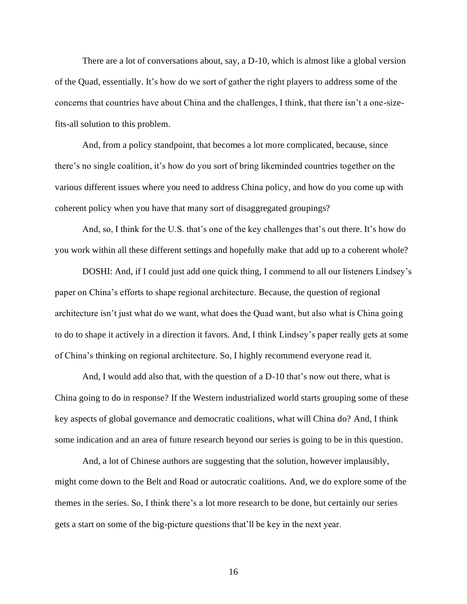There are a lot of conversations about, say, a D-10, which is almost like a global version of the Quad, essentially. It's how do we sort of gather the right players to address some of the concerns that countries have about China and the challenges, I think, that there isn't a one-sizefits-all solution to this problem.

And, from a policy standpoint, that becomes a lot more complicated, because, since there's no single coalition, it's how do you sort of bring likeminded countries together on the various different issues where you need to address China policy, and how do you come up with coherent policy when you have that many sort of disaggregated groupings?

And, so, I think for the U.S. that's one of the key challenges that's out there. It's how do you work within all these different settings and hopefully make that add up to a coherent whole?

DOSHI: And, if I could just add one quick thing, I commend to all our listeners Lindsey's paper on China's efforts to shape regional architecture. Because, the question of regional architecture isn't just what do we want, what does the Quad want, but also what is China going to do to shape it actively in a direction it favors. And, I think Lindsey's paper really gets at some of China's thinking on regional architecture. So, I highly recommend everyone read it.

And, I would add also that, with the question of a D-10 that's now out there, what is China going to do in response? If the Western industrialized world starts grouping some of these key aspects of global governance and democratic coalitions, what will China do? And, I think some indication and an area of future research beyond our series is going to be in this question.

And, a lot of Chinese authors are suggesting that the solution, however implausibly, might come down to the Belt and Road or autocratic coalitions. And, we do explore some of the themes in the series. So, I think there's a lot more research to be done, but certainly our series gets a start on some of the big-picture questions that'll be key in the next year.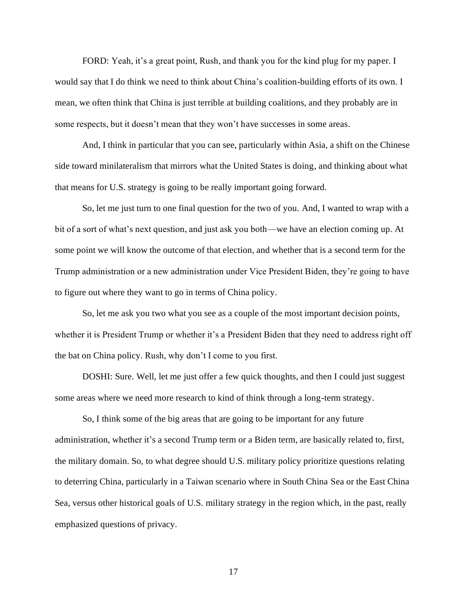FORD: Yeah, it's a great point, Rush, and thank you for the kind plug for my paper. I would say that I do think we need to think about China's coalition-building efforts of its own. I mean, we often think that China is just terrible at building coalitions, and they probably are in some respects, but it doesn't mean that they won't have successes in some areas.

And, I think in particular that you can see, particularly within Asia, a shift on the Chinese side toward minilateralism that mirrors what the United States is doing, and thinking about what that means for U.S. strategy is going to be really important going forward.

So, let me just turn to one final question for the two of you. And, I wanted to wrap with a bit of a sort of what's next question, and just ask you both—we have an election coming up. At some point we will know the outcome of that election, and whether that is a second term for the Trump administration or a new administration under Vice President Biden, they're going to have to figure out where they want to go in terms of China policy.

So, let me ask you two what you see as a couple of the most important decision points, whether it is President Trump or whether it's a President Biden that they need to address right off the bat on China policy. Rush, why don't I come to you first.

DOSHI: Sure. Well, let me just offer a few quick thoughts, and then I could just suggest some areas where we need more research to kind of think through a long-term strategy.

So, I think some of the big areas that are going to be important for any future administration, whether it's a second Trump term or a Biden term, are basically related to, first, the military domain. So, to what degree should U.S. military policy prioritize questions relating to deterring China, particularly in a Taiwan scenario where in South China Sea or the East China Sea, versus other historical goals of U.S. military strategy in the region which, in the past, really emphasized questions of privacy.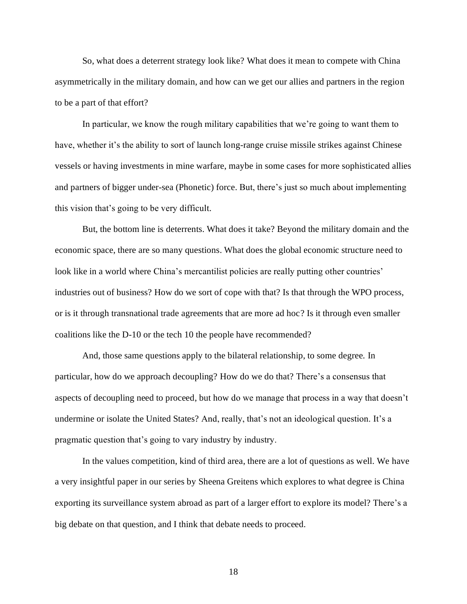So, what does a deterrent strategy look like? What does it mean to compete with China asymmetrically in the military domain, and how can we get our allies and partners in the region to be a part of that effort?

In particular, we know the rough military capabilities that we're going to want them to have, whether it's the ability to sort of launch long-range cruise missile strikes against Chinese vessels or having investments in mine warfare, maybe in some cases for more sophisticated allies and partners of bigger under-sea (Phonetic) force. But, there's just so much about implementing this vision that's going to be very difficult.

But, the bottom line is deterrents. What does it take? Beyond the military domain and the economic space, there are so many questions. What does the global economic structure need to look like in a world where China's mercantilist policies are really putting other countries' industries out of business? How do we sort of cope with that? Is that through the WPO process, or is it through transnational trade agreements that are more ad hoc? Is it through even smaller coalitions like the D-10 or the tech 10 the people have recommended?

And, those same questions apply to the bilateral relationship, to some degree. In particular, how do we approach decoupling? How do we do that? There's a consensus that aspects of decoupling need to proceed, but how do we manage that process in a way that doesn't undermine or isolate the United States? And, really, that's not an ideological question. It's a pragmatic question that's going to vary industry by industry.

In the values competition, kind of third area, there are a lot of questions as well. We have a very insightful paper in our series by Sheena Greitens which explores to what degree is China exporting its surveillance system abroad as part of a larger effort to explore its model? There's a big debate on that question, and I think that debate needs to proceed.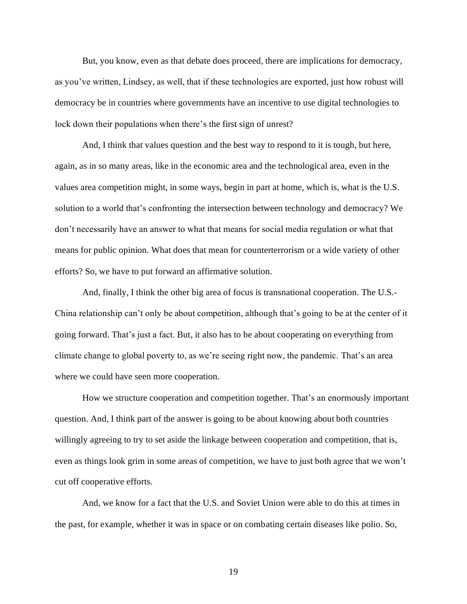But, you know, even as that debate does proceed, there are implications for democracy, as you've written, Lindsey, as well, that if these technologies are exported, just how robust will democracy be in countries where governments have an incentive to use digital technologies to lock down their populations when there's the first sign of unrest?

And, I think that values question and the best way to respond to it is tough, but here, again, as in so many areas, like in the economic area and the technological area, even in the values area competition might, in some ways, begin in part at home, which is, what is the U.S. solution to a world that's confronting the intersection between technology and democracy? We don't necessarily have an answer to what that means for social media regulation or what that means for public opinion. What does that mean for counterterrorism or a wide variety of other efforts? So, we have to put forward an affirmative solution.

And, finally, I think the other big area of focus is transnational cooperation. The U.S.- China relationship can't only be about competition, although that's going to be at the center of it going forward. That's just a fact. But, it also has to be about cooperating on everything from climate change to global poverty to, as we're seeing right now, the pandemic. That's an area where we could have seen more cooperation.

How we structure cooperation and competition together. That's an enormously important question. And, I think part of the answer is going to be about knowing about both countries willingly agreeing to try to set aside the linkage between cooperation and competition, that is, even as things look grim in some areas of competition, we have to just both agree that we won't cut off cooperative efforts.

And, we know for a fact that the U.S. and Soviet Union were able to do this at times in the past, for example, whether it was in space or on combating certain diseases like polio. So,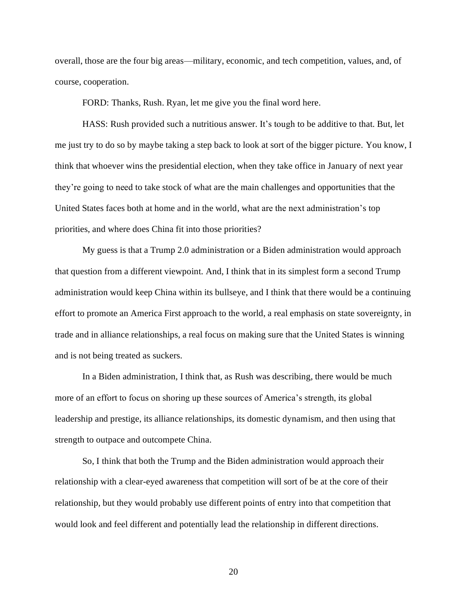overall, those are the four big areas—military, economic, and tech competition, values, and, of course, cooperation.

FORD: Thanks, Rush. Ryan, let me give you the final word here.

HASS: Rush provided such a nutritious answer. It's tough to be additive to that. But, let me just try to do so by maybe taking a step back to look at sort of the bigger picture. You know, I think that whoever wins the presidential election, when they take office in January of next year they're going to need to take stock of what are the main challenges and opportunities that the United States faces both at home and in the world, what are the next administration's top priorities, and where does China fit into those priorities?

My guess is that a Trump 2.0 administration or a Biden administration would approach that question from a different viewpoint. And, I think that in its simplest form a second Trump administration would keep China within its bullseye, and I think that there would be a continuing effort to promote an America First approach to the world, a real emphasis on state sovereignty, in trade and in alliance relationships, a real focus on making sure that the United States is winning and is not being treated as suckers.

In a Biden administration, I think that, as Rush was describing, there would be much more of an effort to focus on shoring up these sources of America's strength, its global leadership and prestige, its alliance relationships, its domestic dynamism, and then using that strength to outpace and outcompete China.

So, I think that both the Trump and the Biden administration would approach their relationship with a clear-eyed awareness that competition will sort of be at the core of their relationship, but they would probably use different points of entry into that competition that would look and feel different and potentially lead the relationship in different directions.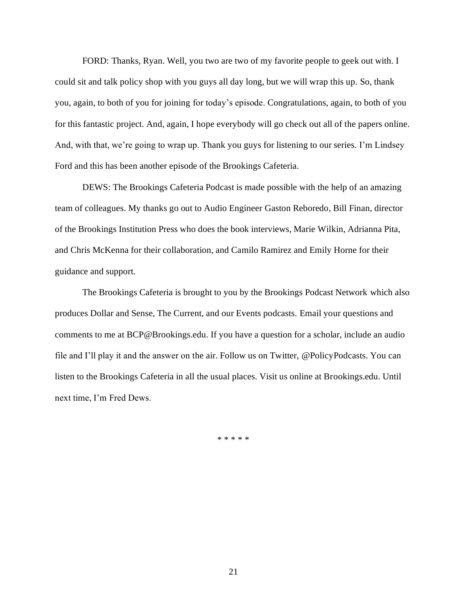FORD: Thanks, Ryan. Well, you two are two of my favorite people to geek out with. I could sit and talk policy shop with you guys all day long, but we will wrap this up. So, thank you, again, to both of you for joining for today's episode. Congratulations, again, to both of you for this fantastic project. And, again, I hope everybody will go check out all of the papers online. And, with that, we're going to wrap up. Thank you guys for listening to our series. I'm Lindsey Ford and this has been another episode of the Brookings Cafeteria.

DEWS: The Brookings Cafeteria Podcast is made possible with the help of an amazing team of colleagues. My thanks go out to Audio Engineer Gaston Reboredo, Bill Finan, director of the Brookings Institution Press who does the book interviews, Marie Wilkin, Adrianna Pita, and Chris McKenna for their collaboration, and Camilo Ramirez and Emily Horne for their guidance and support.

The Brookings Cafeteria is brought to you by the Brookings Podcast Network which also produces Dollar and Sense, The Current, and our Events podcasts. Email your questions and comments to me at BCP@Brookings.edu. If you have a question for a scholar, include an audio file and I'll play it and the answer on the air. Follow us on Twitter, @PolicyPodcasts. You can listen to the Brookings Cafeteria in all the usual places. Visit us online at Brookings.edu. Until next time, I'm Fred Dews.

\* \* \* \* \*